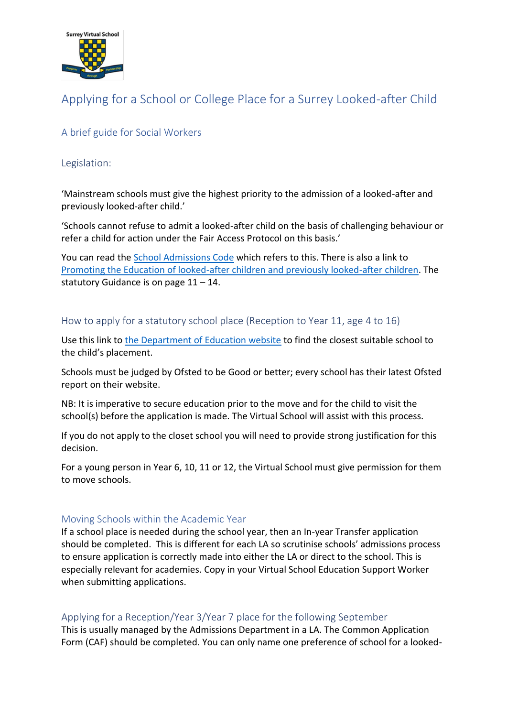

# Applying for a School or College Place for a Surrey Looked-after Child

## A brief guide for Social Workers

#### Legislation:

'Mainstream schools must give the highest priority to the admission of a looked-after and previously looked-after child.'

'Schools cannot refuse to admit a looked-after child on the basis of challenging behaviour or refer a child for action under the Fair Access Protocol on this basis.'

You can read the [School Admissions Code](https://assets.publishing.service.gov.uk/government/uploads/system/uploads/attachment_data/file/389388/School_Admissions_Code_2014_-_19_Dec.pdf) which refers to this. There is also a link to [Promoting the Education of looked-after children and previously looked-after children.](https://assets.publishing.service.gov.uk/government/uploads/system/uploads/attachment_data/file/389388/School_Admissions_Code_2014_-_19_Dec.pdf) The statutory Guidance is on page  $11 - 14$ .

#### How to apply for a statutory school place (Reception to Year 11, age 4 to 16)

Use this link to [the Department of Education website](https://www.gov.uk/school-performance-tables) to find the closest suitable school to the child's placement.

Schools must be judged by Ofsted to be Good or better; every school has their latest Ofsted report on their website.

NB: It is imperative to secure education prior to the move and for the child to visit the school(s) before the application is made. The Virtual School will assist with this process.

If you do not apply to the closet school you will need to provide strong justification for this decision.

For a young person in Year 6, 10, 11 or 12, the Virtual School must give permission for them to move schools.

#### Moving Schools within the Academic Year

If a school place is needed during the school year, then an In-year Transfer application should be completed. This is different for each LA so scrutinise schools' admissions process to ensure application is correctly made into either the LA or direct to the school. This is especially relevant for academies. Copy in your Virtual School Education Support Worker when submitting applications.

#### Applying for a Reception/Year 3/Year 7 place for the following September

This is usually managed by the Admissions Department in a LA. The Common Application Form (CAF) should be completed. You can only name one preference of school for a looked-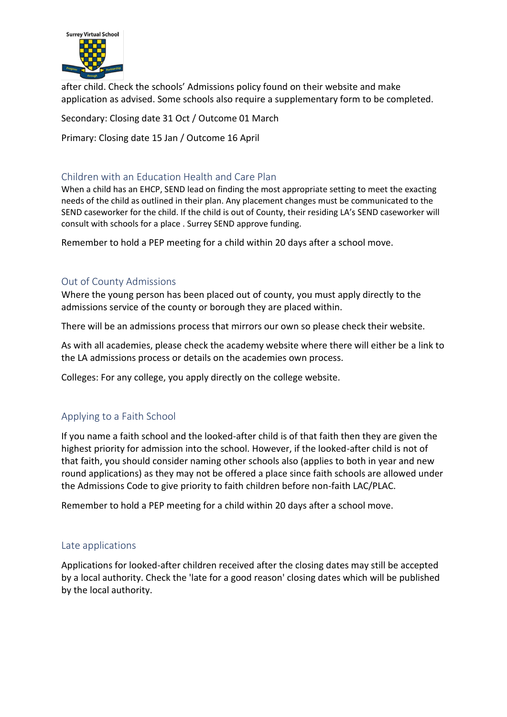

after child. Check the schools' Admissions policy found on their website and make application as advised. Some schools also require a supplementary form to be completed.

Secondary: Closing date 31 Oct / Outcome 01 March

Primary: Closing date 15 Jan / Outcome 16 April

## Children with an Education Health and Care Plan

When a child has an EHCP, SEND lead on finding the most appropriate setting to meet the exacting needs of the child as outlined in their plan. Any placement changes must be communicated to the SEND caseworker for the child. If the child is out of County, their residing LA's SEND caseworker will consult with schools for a place . Surrey SEND approve funding.

Remember to hold a PEP meeting for a child within 20 days after a school move.

## Out of County Admissions

Where the young person has been placed out of county, you must apply directly to the admissions service of the county or borough they are placed within.

There will be an admissions process that mirrors our own so please check their website.

As with all academies, please check the academy website where there will either be a link to the LA admissions process or details on the academies own process.

Colleges: For any college, you apply directly on the college website.

## Applying to a Faith School

If you name a faith school and the looked-after child is of that faith then they are given the highest priority for admission into the school. However, if the looked-after child is not of that faith, you should consider naming other schools also (applies to both in year and new round applications) as they may not be offered a place since faith schools are allowed under the Admissions Code to give priority to faith children before non-faith LAC/PLAC.

Remember to hold a PEP meeting for a child within 20 days after a school move.

## Late applications

Applications for looked-after children received after the closing dates may still be accepted by a local authority. Check the 'late for a good reason' closing dates which will be published by the local authority.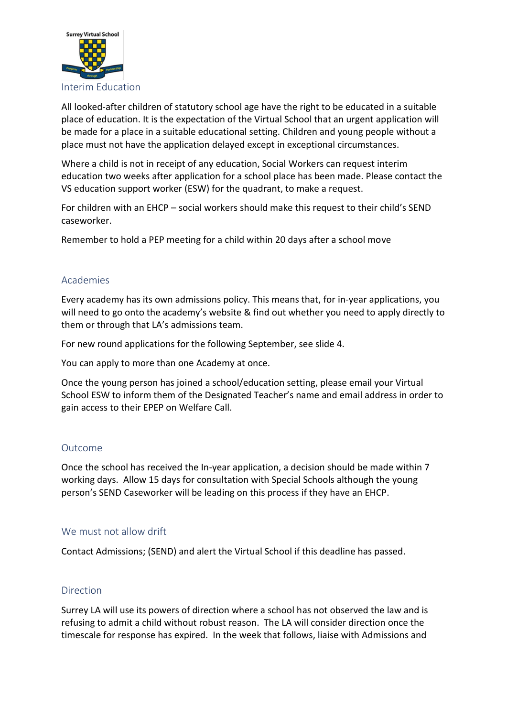

All looked-after children of statutory school age have the right to be educated in a suitable place of education. It is the expectation of the Virtual School that an urgent application will be made for a place in a suitable educational setting. Children and young people without a place must not have the application delayed except in exceptional circumstances.

Where a child is not in receipt of any education, Social Workers can request interim education two weeks after application for a school place has been made. Please contact the VS education support worker (ESW) for the quadrant, to make a request.

For children with an EHCP – social workers should make this request to their child's SEND caseworker.

Remember to hold a PEP meeting for a child within 20 days after a school move

## Academies

Every academy has its own admissions policy. This means that, for in-year applications, you will need to go onto the academy's website & find out whether you need to apply directly to them or through that LA's admissions team.

For new round applications for the following September, see slide 4.

You can apply to more than one Academy at once.

Once the young person has joined a school/education setting, please email your Virtual School ESW to inform them of the Designated Teacher's name and email address in order to gain access to their EPEP on Welfare Call.

## Outcome

Once the school has received the In-year application, a decision should be made within 7 working days. Allow 15 days for consultation with Special Schools although the young person's SEND Caseworker will be leading on this process if they have an EHCP.

#### We must not allow drift

Contact Admissions; (SEND) and alert the Virtual School if this deadline has passed.

#### **Direction**

Surrey LA will use its powers of direction where a school has not observed the law and is refusing to admit a child without robust reason. The LA will consider direction once the timescale for response has expired. In the week that follows, liaise with Admissions and